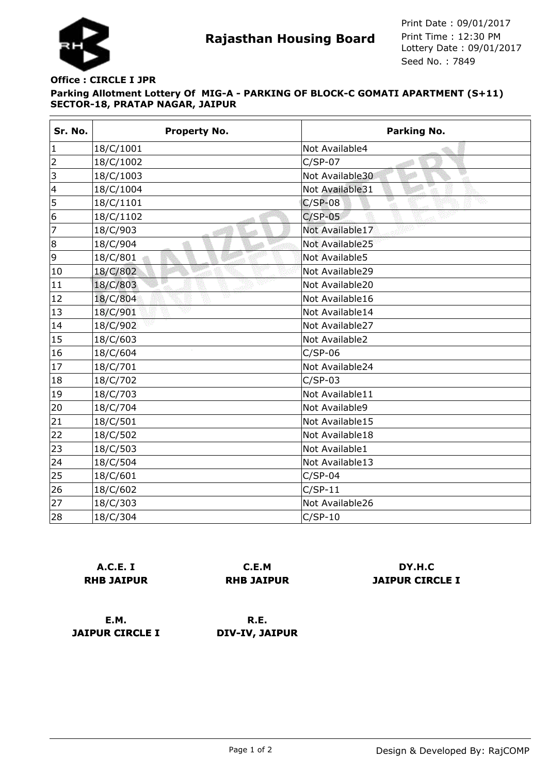

**Rajasthan Housing Board** Print Time : 12:30 PM<br>Lottery Date : 09/01/2017 Seed No. : 7849 Print Date : 09/01/2017 Print Time : 12:30 PM

## **Parking Allotment Lottery Of MIG-A - PARKING OF BLOCK-C GOMATI APARTMENT (S+11) SECTOR-18, PRATAP NAGAR, JAIPUR Office : CIRCLE I JPR**

| Sr. No.                 | <b>Property No.</b> | Parking No.           |
|-------------------------|---------------------|-----------------------|
| $\mathbf{1}$            | 18/C/1001           | Not Available4        |
| $\overline{2}$          | 18/C/1002           | $C/SP-07$             |
| 3                       | 18/C/1003           | Not Available30<br>ेग |
| $\overline{\mathbf{4}}$ | 18/C/1004           | Not Available31       |
| 5                       | 18/C/1101           | $C/SP-08$             |
| 6                       | 18/C/1102           | $C/SP-05$             |
| $\overline{7}$          | 18/C/903            | Not Available17       |
| 8                       | 18/C/904            | Not Available25       |
| 9                       | 18/C/801            | Not Available5        |
| 10                      | 18/C/802            | Not Available29       |
| 11                      | 18/C/803            | Not Available20       |
| 12                      | Ŵ<br>18/C/804       | Not Available16       |
| 13                      | 18/C/901            | Not Available14       |
| 14                      | 18/C/902            | Not Available27       |
| 15                      | 18/C/603            | Not Available2        |
| 16                      | 18/C/604            | $C/SP-06$             |
| 17                      | 18/C/701            | Not Available24       |
| 18                      | 18/C/702            | $C/SP-03$             |
| 19                      | 18/C/703            | Not Available11       |
| 20                      | 18/C/704            | Not Available9        |
| 21                      | 18/C/501            | Not Available15       |
| 22                      | 18/C/502            | Not Available18       |
| 23                      | 18/C/503            | Not Available1        |
| 24                      | 18/C/504            | Not Available13       |
| 25                      | 18/C/601            | $C/SP-04$             |
| 26                      | 18/C/602            | $C/SP-11$             |
| 27                      | 18/C/303            | Not Available26       |
| 28                      | 18/C/304            | $C/SP-10$             |

**A.C.E. I RHB JAIPUR**

**C.E.M RHB JAIPUR**

**DY.H.C JAIPUR CIRCLE I**

**E.M. JAIPUR CIRCLE I**

**R.E. DIV-IV, JAIPUR**